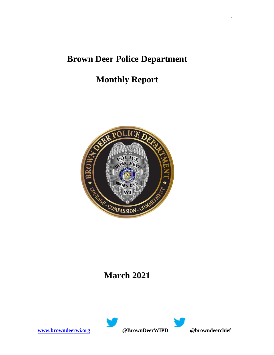# **Brown Deer Police Department**

# **Monthly Report**



### **March 2021**



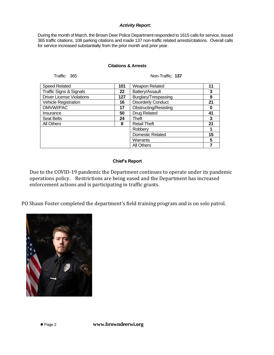#### *Activity Report:*

During the month of March, the Brown Deer Police Department responded to 1615 calls for service, issued 365 traffic citations, 108 parking citations and made 137 non-traffic related arrests/citations. Overall calls for service increased substantially from the prior month and prior year.

#### **Citations & Arrests**

Traffic: 365 Non-Traffic: **137**

| <b>Speed Related</b>               | 101 | Weapon Related            | 11 |
|------------------------------------|-----|---------------------------|----|
| <b>Traffic Signs &amp; Signals</b> | 22  | Battery/Assault           | 3  |
| <b>Driver License Violations</b>   | 127 | Burglary/Trespassing      | 9  |
| <b>Vehicle Registration</b>        | 16  | <b>Disorderly Conduct</b> | 21 |
| OMVWI/PAC                          | 17  | Obstructing/Resisting     | 0  |
| Insurance                          | 50  | <b>Drug Related</b>       | 41 |
| <b>Seat Belts</b>                  | 24  | Theft                     | 3  |
| All Others                         | 8   | <b>Retail Theft</b>       | 21 |
|                                    |     | Robberv                   |    |
|                                    |     | <b>Domestic Related</b>   | 15 |
|                                    |     | Warrants                  | 5  |
|                                    |     | All Others                |    |

### **Chief's Report**

Due to the COVID-19 pandemic the Department continues to operate under its pandemic operations policy. Restrictions are being eased and the Department has increased enforcement actions and is participating in traffic grants.

PO Shaun Foster completed the department's field training program and is on solo patrol.



⚫ Page 2 **www.browndeerwi.org**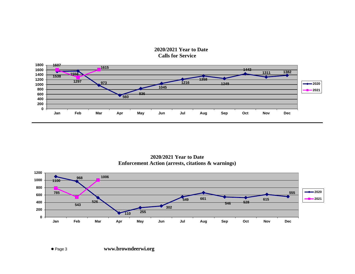**2020/2021 Year to Date Calls for Service**



**2020/2021 Year to Date Enforcement Action (arrests, citations & warnings)**

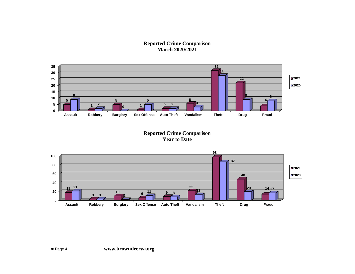**Reported Crime Comparison March 2020/2021**



**Reported Crime Comparison Year to Date**

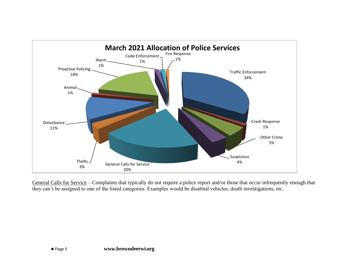

General Calls for Service – Complaints that typically do not require a police report and/or those that occur infrequently enough that they can't be assigned to one of the listed categories. Examples would be disabled vehicles, death investigations, etc.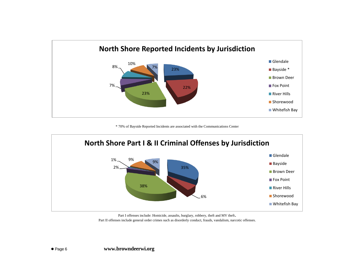

\* 70% of Bayside Reported Incidents are associated with the Communications Center



Part I offenses include: Homicide, assaults, burglary, robbery, theft and MV theft. Part II offenses include general order crimes such as disorderly conduct, frauds, vandalism, narcotic offenses.